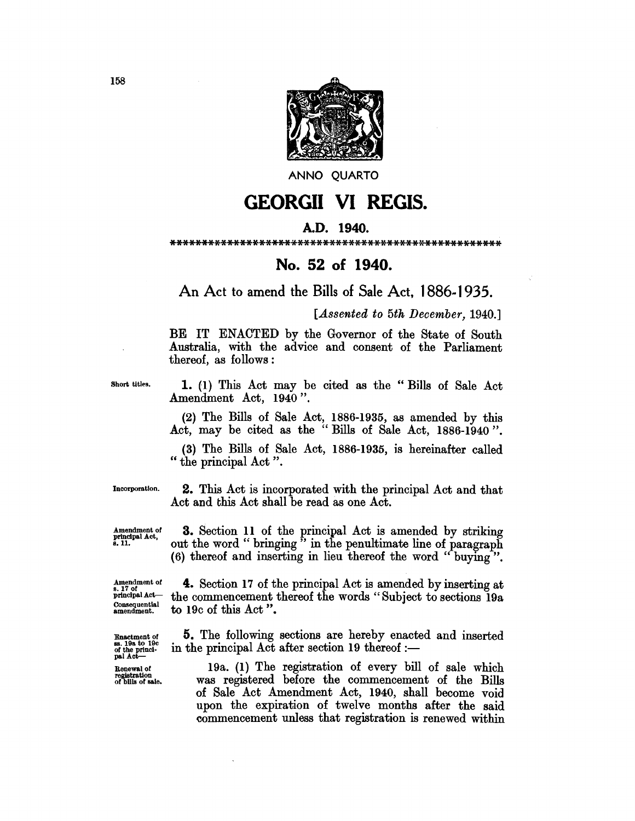

ANNO QUARTO

## **GEORGII VI REGIS.**

## A.D. 1940.

\*\*\*\*\*\*\*\*\*\*\*\*\*\*\*\*\*\*\*\*\*\*\*\*\*\*\*\*\*\*\*\*\*\*\*\*\*\*\*\*\*\*\*\*\*\*\*\*\*\*\*\*

## No. 52 of 1940.

An Act to amend the Bills of Sale Act, 1886.1935.

*[Assented to 5th December, 1940.]* 

BE IT ENACTED by the Governor of the State of South Australia, with the advice and consent of the Parliament thereof, as follows:

Short titles.

1. (1) This Act may be cited as the "Bills of Sale Act Amendment Act, 1940".

(2) The Bills of Sale Act, 1886-1935, as amended by this Act, may be cited as the" Bills of Sale Act, 1886-1940".

(3) The Bills of Sale Act, 1886-1935, is hereinafter called " the principal Act".

Incorporation.

2. This Act is incorporated with the principal Act and that Act and this Act shall be read as one Act.

Amendment of principal Act, 8.11.

Amendment of<br>s. 17 of<br>principal Act— Consequential amendment.

Enactment of 88. 19a to 19c of the princi-<br>pal Act—

Renewal of registration of bills of sale.

3. Section 11 of the principal Act is amended by striking out the word " bringing" in the penultimate line of paragraph (6) thereof and inserting in lieu thereof the word" buying ".

4. Section 17 of the principal Act is amended by inserting at the commencement thereof the words" Subject to sections 19a to 19c of this Act ".

5. The following sections are hereby enacted and inserted in the principal Act after section  $19$  thereof :-

19a. (1) The registration of every bill of sale which was registered before the commencement of the Bills of Sale Act Amendment Act, 1940, shall become void upon the expiration of twelve months after the said commencement unless that registration is renewed within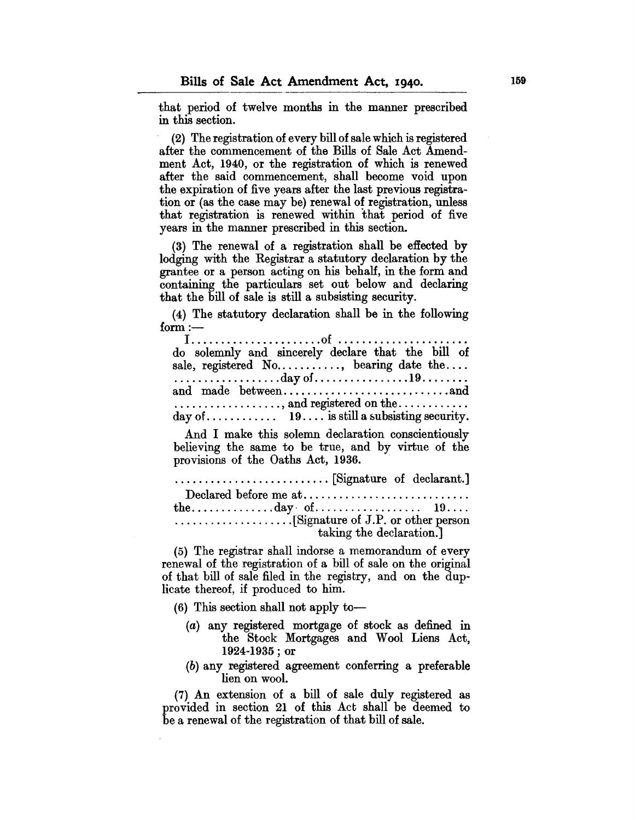that period of twelve months in the manner prescribed in this section.

(2) The registration of every bill of sale which is registered after the commencement of the Bills of Sale Act Amendment Act, 1940, or the registration of which is renewed after the said commencement, shall become void upon the expiration of five years after the last previous registration or (as the case may be) renewal of registration, unless that registration is renewed within that period of five years in the manner prescribed in this section.

(3) The renewal of a registration shall be effected by lodging with the Registrar a statutory declaration by the grantee or a person acting on his behalf, in the form and containing the particulars set out below and declaring that the bill of sale is still a subsisting security.

(4) The statutory declaration shall be in the following  $form :=$ 

| .                                                  |  |  |
|----------------------------------------------------|--|--|
|                                                    |  |  |
| do solemnly and sincerely declare that the bill of |  |  |
| sale, registered No, bearing date the              |  |  |
|                                                    |  |  |
| , and registered on the                            |  |  |
|                                                    |  |  |

And I make this solemn declaration conscientiously believing the same to be true, and by virtue of the provisions of the Oaths Act, 1936.

| taking the declaration. |  |
|-------------------------|--|

(5) The registrar shall indorse a memorandum of every renewal of the registration of a bill of sale on the original of that bill of sale filed in the registry, and on the duplicate thereof, if produced to him.

(6) This section shall not apply to-

- (a) any registered mortgage of stock as defined in the Stock Mortgages and Wool Liens Act, 1924-1935; or
- (b) any registered agreement conferring a preferable lien on wool.

(7) An extension of a bill of sale duly registered as provided in section 21 of this Act shall be deemed to be a renewal of the registration of that bill of sale.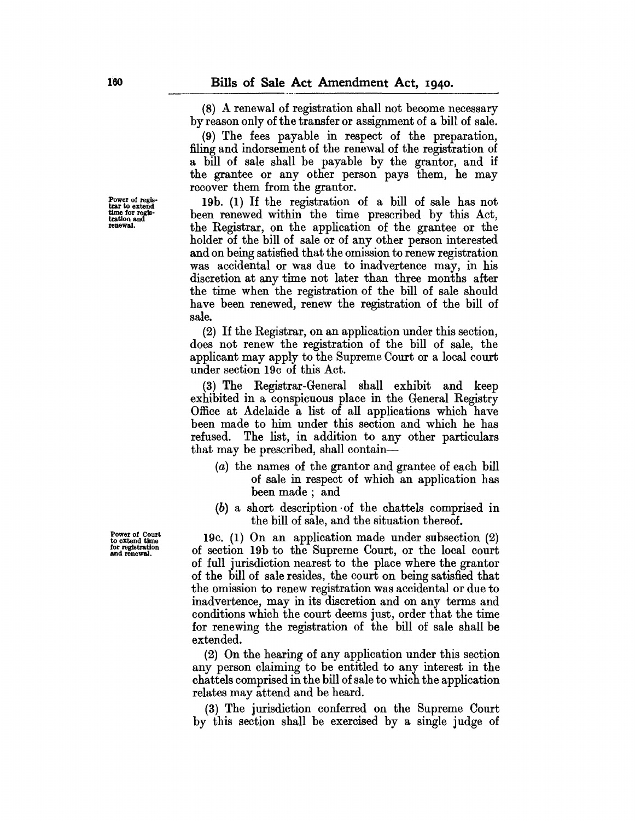(8) A renewal of registration shall not become necessary by reason only of the transfer or assignment of a bill of sale.

(9) The fees payable in respect of the preparation, filing and indorsement of the renewal of the registration of a bill of sale shall be payable by the grantor, and if the grantee or any other person pays them, he may recover them from the grantor.

19b. (1) If the registration of a bill of sale has not been renewed within the time prescribed by this Act, the Registrar, on the application of the grantee or the holder of the bill of sale or of any other person interested and on being satisfied that the omission to renew registration was accidental or was due to inadvertence may, in his discretion at any time not later than three months after the time when the registration of the bill of sale should have been renewed, renew the registration of the bill of sale.

(2) If the Registrar, on an application under this section, does not renew the registration of the bill of sale, the applicant may apply to the Supreme Court or a local court under section 19c of this Act.

(3) The Registrar-General shall exhibit and keep exhibited in a conspicuous place in the General Registry Office at Adelaide a list of all applications which have been made to him under this section and which he has refused. The list, in addition to any other particulars that may be prescribed, shall contain-

- (a) the names of the grantor and grantee of each bill of sale in respect of which an application has been made; and
- (b) a short description ·of the chattels comprised in the bill of sale, and the situation thereof.

19c. (1) On an application made under subsection (2) of section 19b to the Supreme Court, or the local court of full jurisdiction nearest to the place where the grantor of the bill of sale resides, the court on being satisfied that the omission to renew registration was accidental or due to inadvertence, may in its discretion and on any terms and conditions which the court deems just, order that the time for renewing the registration of the bill of sale shall be extended.

(2) On the hearing of any application under this section any person claiming to be entitled to any interest in the chattels comprised in the bill of sale to which the application relates may attend and be heard.

(3) The jurisdiction conferred on the Supreme Court by this section shall be exercised by a single judge of

Power of Court to extend time for registration and renewal.

Power of regis-<br>trar to extend time for regis- tration and renewal.